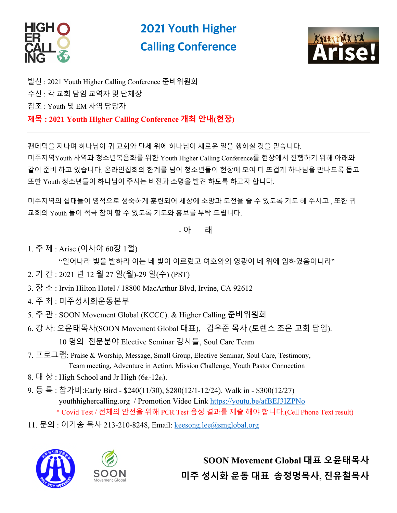



발신 : 2021 Youth Higher Calling Conference 준비위원회 수신 : 각 교회 담임 교역자 및 단체장 참조 : Youth 및 EM 사역 담당자 **제목 : 2021 Youth Higher Calling Conference 개최 안내(현장)**

팬데믹을 지나며 하나님이 귀 교회와 단체 위에 하나님이 새로운 일을 행하실 것을 믿습니다. 미주지역Youth 사역과 청소년복음화를 위한 Youth Higher Calling Conference를 현장에서 진행하기 위해 아래와 같이 준비 하고 있습니다. 온라인집회의 한계를 넘어 청소년들이 현장에 모여 더 뜨겁게 하나님을 만나도록 돕고 또한 Youth 청소년들이 하나님이 주시는 비전과 소명을 발견 하도록 하고자 합니다.

미주지역의 십대들이 영적으로 성숙하게 훈련되어 세상에 소망과 도전을 줄 수 있도록 기도 해 주시고 , 또한 귀 교회의 Youth 들이 적극 참여 할 수 있도록 기도와 홍보를 부탁 드립니다.

- 아 래 –

1. 주 제 : Arise (이사야 60장 1절)

- "일어나라 빛을 발하라 이는 네 빛이 이르렀고 여호와의 영광이 네 위에 임하였음이니라"
- 2. 기 간 : 2021 년 12 월 27 일(월)-29 일(수) (PST)
- 3. 장 소 : Irvin Hilton Hotel / 18800 MacArthur Blvd, Irvine, CA 92612
- 4. 주 최 : 미주성시화운동본부
- 5. 주 관 : SOON Movement Global (KCCC). & Higher Calling 준비위원회
- 6. 강 사: 오윤태목사(SOON Movement Global 대표), 김우준 목사 (토렌스 조은 교회 담임). 10 명의 전문분야 Elective Seminar 강사들, Soul Care Team
- 7. 프로그램: Praise & Worship, Message, Small Group, Elective Seminar, Soul Care, Testimony, Team meeting, Adventure in Action, Mission Challenge, Youth Pastor Connection
- 8.  $H_1 \otimes$ : High School and Jr High (6th-12th).
- 9. 등 록 : 참가비:Early Bird \$240(11/30), \$280(12/1-12/24). Walk in \$300(12/27) youthhighercalling.org / Promotion Video Link https://youtu.be/afBEJ3IZPNo \* Covid Test / 전체의 안전을 위해 PCR Test 음성 결과를 제출 해야 합니다.(Cell Phone Text result)
- 11. 문의 : 이기송 목사 213-210-8248, Email: keesong.lee@smglobal.org





**SOON Movement Global 대표 오윤태목사 미주 성시화 운동 대표 송정명목사, 진유철목사**